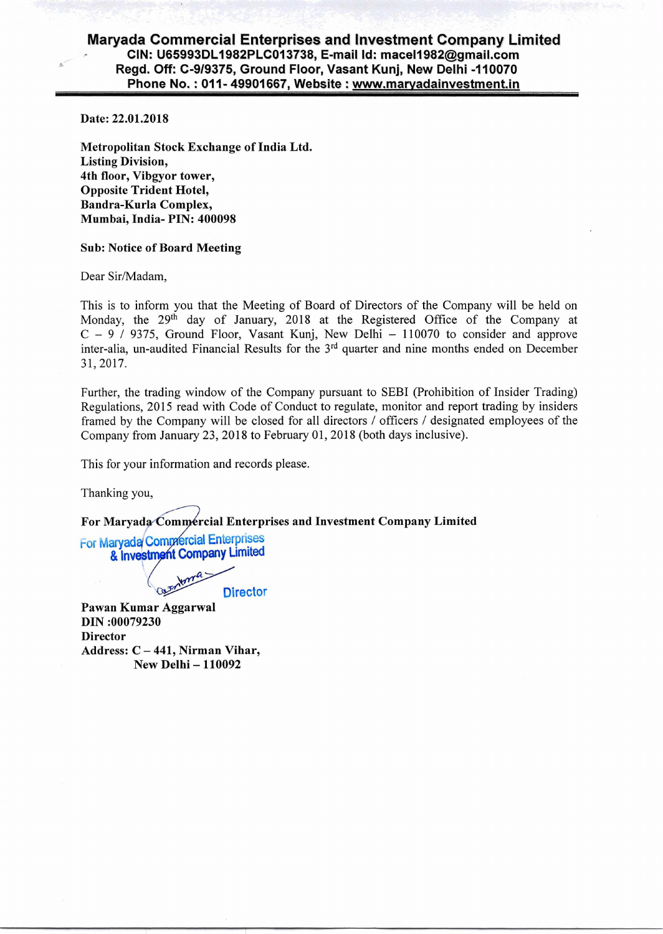## **Maryada Commercial Enterprises and Investment Company Limited CIN: U65993DL1982PLC013738, E-mail Id: mace11982@gmail.com Regd. Off: C-9/9375, Ground Floor, Vasant Kunj, New Delhi -110070 Phone No. : 011- 49901667, Website : www.marvadainvestment.in**

Date: 22.01.2018

Metropolitan Stock Exchange of India Ltd. Listing Division, 4th floor, Vibgyor tower, Opposite Trident Hotel, Bandra-Kurla Complex, Mumbai, India- PIN: 400098

## Sub: Notice of Board Meeting

Dear Sir/Madam,

This is to inform you that the Meeting of Board of Directors of the Company will be held on Monday, the 29<sup>th</sup> day of January, 2018 at the Registered Office of the Company at  $C - 9$  / 9375, Ground Floor, Vasant Kunj, New Delhi - 110070 to consider and approve inter-alia, un-audited Financial Results for the 3<sup>rd</sup> quarter and nine months ended on December 31, 2017.

Further, the trading window of the Company pursuant to SEBI (Prohibition of Insider Trading) Regulations, 2015 read with Code of Conduct to regulate, monitor and report trading by insiders framed by the Company will be closed for all directors / officers / designated employees of the Company from January 23, 2018 to February 01, 2018 (both days inclusive).

This for your information and records please.

Thanking you,

For Maryada Commercial Enterprises and Investment Company Limited

For Maryada Commercial Enterprises & Investment Company Limited

Cathylan **Director** 

Pawan Kumar Aggarwal DIN :00079230 **Director** Address: C — 441, Nirman Vihar, New Delhi — 110092